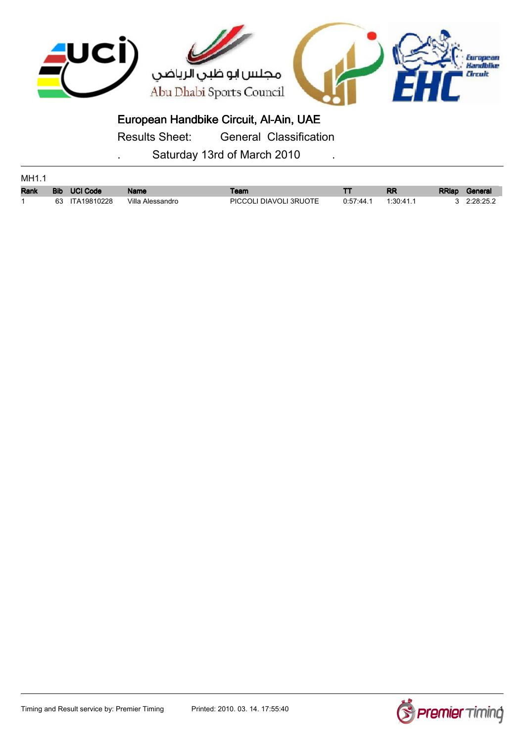

Results Sheet: General Classification

| MH1.1       |                     |                  |                        |           |           |                      |
|-------------|---------------------|------------------|------------------------|-----------|-----------|----------------------|
| <b>Rank</b> | <b>Bib</b> UCI Code | <b>Name</b>      | Team                   |           | <b>RR</b> | <b>RRIap</b> General |
|             | 63 ITA19810228      | Villa Alessandro | PICCOLI DIAVOLI 3RUOTE | 0.57:44.1 | 1:30:41.1 | 3 2:28:25.2          |



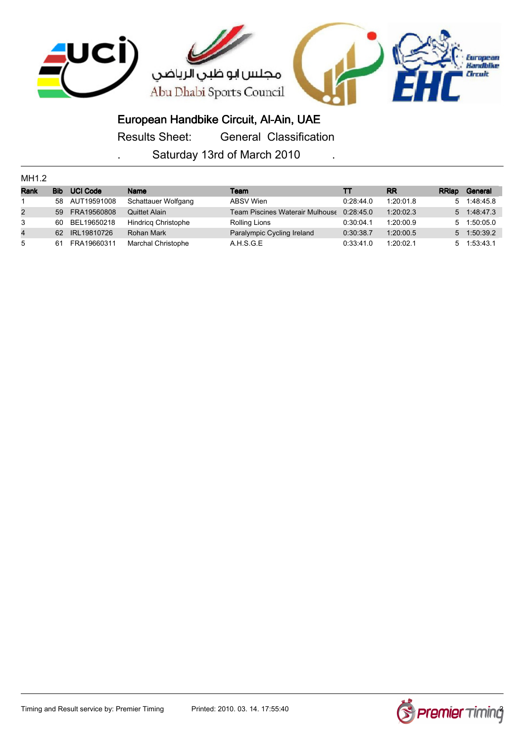

Results Sheet: General Classification

| MH <sub>1.2</sub> |            |                 |                            |                                           |           |           |               |                     |
|-------------------|------------|-----------------|----------------------------|-------------------------------------------|-----------|-----------|---------------|---------------------|
| Rank              | <b>Bib</b> | <b>UCI Code</b> | <b>Name</b>                | Team                                      |           | <b>RR</b> | <b>RR</b> lap | General             |
| -1                | 58         | AUT19591008     | Schattauer Wolfgang        | <b>ABSV Wien</b>                          | 0.28:44.0 | 1:20:01.8 |               | 5 1:48:45.8         |
| $\overline{2}$    | 59         | FRA19560808     | Quittet Alain              | Team Piscines Waterair Mulhouse 0:28:45.0 |           | 1:20:02.3 |               | 5 1:48:47.3         |
| 3                 | 60         | BEL19650218     | <b>Hindricg Christophe</b> | Rolling Lions                             | 0:30:04.1 | 1:20:00.9 |               | 5 1:50:05.0         |
| $\overline{4}$    | 62         | IRL19810726     | Rohan Mark                 | Paralympic Cycling Ireland                | 0:30:38.7 | 1:20:00.5 |               | 5 1:50:39.2         |
| 5                 | 61         | FRA19660311     | Marchal Christophe         | A.H.S.G.E                                 | 0:33:41.0 | 1:20:02.1 |               | $5 \quad 1:53:43.1$ |

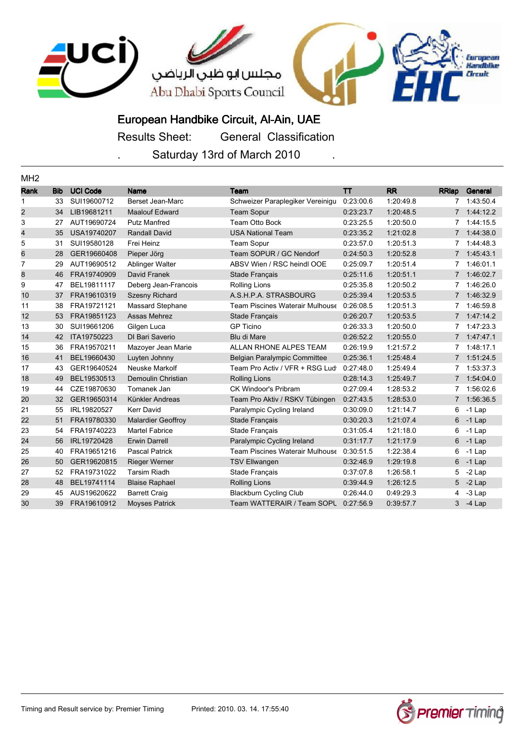

Results Sheet: General Classification

| MH <sub>2</sub> |            |                 |                           |                                        |           |           |                |             |
|-----------------|------------|-----------------|---------------------------|----------------------------------------|-----------|-----------|----------------|-------------|
| Rank            | <b>Bib</b> | <b>UCI Code</b> | <b>Name</b>               | Team                                   | TΤ        | <b>RR</b> | <b>RRIap</b>   | General     |
| 1               | 33         | SUI19600712     | Berset Jean-Marc          | Schweizer Paraplegiker Vereinigu       | 0:23:00.6 | 1:20:49.8 |                | 7 1:43:50.4 |
| $\overline{2}$  | 34         | LIB19681211     | <b>Maalouf Edward</b>     | <b>Team Sopur</b>                      | 0:23:23.7 | 1:20:48.5 |                | 7 1:44:12.2 |
| 3               | 27         | AUT19690724     | <b>Putz Manfred</b>       | Team Otto Bock                         | 0:23:25.5 | 1:20:50.0 | 7              | 1:44:15.5   |
| 4               | 35         | USA19740207     | <b>Randall David</b>      | <b>USA National Team</b>               | 0:23:35.2 | 1:21:02.8 |                | 7 1:44:38.0 |
| 5               | 31         | SUI19580128     | Frei Heinz                | <b>Team Sopur</b>                      | 0:23:57.0 | 1:20:51.3 | 7              | 1:44:48.3   |
| $\,6$           | 28         | GER19660408     | Pieper Jörg               | Team SOPUR / GC Nendorf                | 0:24:50.3 | 1:20:52.8 |                | 7 1:45:43.1 |
| $\overline{7}$  | 29         | AUT19690512     | Ablinger Walter           | ABSV Wien / RSC heindl OOE             | 0:25:09.7 | 1:20:51.4 |                | 7 1:46:01.1 |
| 8               | 46         | FRA19740909     | David Franek              | Stade Français                         | 0:25:11.6 | 1:20:51.1 | $7\phantom{0}$ | 1:46:02.7   |
| 9               | 47         | BEL19811117     | Deberg Jean-Francois      | Rolling Lions                          | 0:25:35.8 | 1:20:50.2 |                | 7 1:46:26.0 |
| 10              | 37         | FRA19610319     | <b>Szesny Richard</b>     | A.S.H.P.A. STRASBOURG                  | 0:25:39.4 | 1:20:53.5 |                | 7 1:46:32.9 |
| 11              | 38         | FRA19721121     | Massard Stephane          | Team Piscines Waterair Mulhouse        | 0:26:08.5 | 1:20:51.3 | 7              | 1:46:59.8   |
| 12              | 53         | FRA19851123     | Assas Mehrez              | Stade Français                         | 0:26:20.7 | 1:20:53.5 |                | 7 1:47:14.2 |
| 13              | 30         | SUI19661206     | Gilgen Luca               | <b>GP Ticino</b>                       | 0:26:33.3 | 1:20:50.0 |                | 7 1:47:23.3 |
| 14              | 42         | ITA19750223     | DI Bari Saverio           | Blu di Mare                            | 0:26:52.2 | 1:20:55.0 |                | 7 1:47:47.1 |
| 15              | 36         | FRA19570211     | Mazover Jean Marie        | ALLAN RHONE ALPES TEAM                 | 0:26:19.9 | 1:21:57.2 |                | 7 1:48:17.1 |
| 16              | 41         | BEL19660430     | Luyten Johnny             | <b>Belgian Paralympic Committee</b>    | 0:25:36.1 | 1:25:48.4 |                | 7 1:51:24.5 |
| 17              | 43         | GER19640524     | Neuske Markolf            | Team Pro Activ / VFR + RSG Lud         | 0:27:48.0 | 1:25:49.4 |                | 7 1:53:37.3 |
| 18              | 49         | BEL19530513     | Demoulin Christian        | <b>Rolling Lions</b>                   | 0:28:14.3 | 1:25:49.7 |                | 7 1:54:04.0 |
| 19              | 44         | CZE19870630     | Tomanek Jan               | <b>CK Windoor's Pribram</b>            | 0:27:09.4 | 1:28:53.2 |                | 1:56:02.6   |
| 20              | 32         | GER19650314     | Künkler Andreas           | Team Pro Aktiv / RSKV Tübingen         | 0:27:43.5 | 1:28:53.0 | $7^{\circ}$    | 1:56:36.5   |
| 21              | 55         | IRL19820527     | <b>Kerr David</b>         | Paralympic Cycling Ireland             | 0:30:09.0 | 1:21:14.7 | 6              | $-1$ Lap    |
| 22              | 51         | FRA19780330     | <b>Malardier Geoffroy</b> | Stade Français                         | 0:30:20.3 | 1:21:07.4 | 6              | $-1$ Lap    |
| 23              | 54         | FRA19740223     | <b>Martel Fabrice</b>     | Stade Français                         | 0:31:05.4 | 1:21:18.0 | 6              | $-1$ Lap    |
| 24              | 56         | IRL19720428     | <b>Erwin Darrell</b>      | Paralympic Cycling Ireland             | 0:31:17.7 | 1:21:17.9 | 6              | $-1$ Lap    |
| 25              | 40         | FRA19651216     | <b>Pascal Patrick</b>     | <b>Team Piscines Waterair Mulhouse</b> | 0:30:51.5 | 1:22:38.4 | 6              | $-1$ Lap    |
| 26              | 50         | GER19620815     | <b>Rieger Werner</b>      | <b>TSV Ellwangen</b>                   | 0:32:46.9 | 1:29:19.8 | 6              | $-1$ Lap    |
| 27              | 52         | FRA19731022     | <b>Tarsim Riadh</b>       | Stade Français                         | 0:37:07.8 | 1:26:58.1 | 5              | $-2$ Lap    |
| 28              | 48         | BEL19741114     | <b>Blaise Raphael</b>     | <b>Rolling Lions</b>                   | 0:39:44.9 | 1:26:12.5 | 5              | $-2$ Lap    |
| 29              | 45         | AUS19620622     | <b>Barrett Craig</b>      | <b>Blackburn Cycling Club</b>          | 0:26:44.0 | 0.49:29.3 | 4              | -3 Lap      |
| 30              | 39         | FRA19610912     | <b>Moyses Patrick</b>     | Team WATTERAIR / Team SOPL             | 0:27:56.9 | 0.39.57.7 | 3              | -4 Lap      |

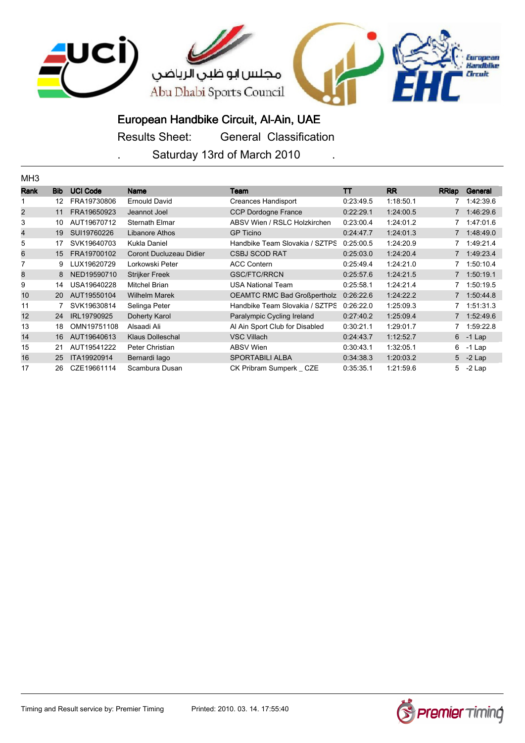

Results Sheet: General Classification

| MH <sub>3</sub> |            |                 |                         |                                |           |           |                |             |
|-----------------|------------|-----------------|-------------------------|--------------------------------|-----------|-----------|----------------|-------------|
| Rank            | <b>Bib</b> | <b>UCI Code</b> | <b>Name</b>             | Team                           | TΤ        | <b>RR</b> | <b>RRIap</b>   | General     |
|                 | 12         | FRA19730806     | <b>Ernould David</b>    | Creances Handisport            | 0.23:49.5 | 1:18:50.1 | 7              | 1:42:39.6   |
| $\overline{2}$  | 11         | FRA19650923     | Jeannot Joel            | <b>CCP Dordogne France</b>     | 0.22:29.1 | 1:24:00.5 | $\overline{7}$ | 1:46:29.6   |
| 3               | 10         | AUT19670712     | <b>Sternath Elmar</b>   | ABSV Wien / RSLC Holzkirchen   | 0.23:00.4 | 1:24:01.2 | 7              | 1:47:01.6   |
| 4               | 19         | SUI19760226     | Libanore Athos          | <b>GP Ticino</b>               | 0.24:47.7 | 1:24:01.3 | $7\phantom{0}$ | 1:48:49.0   |
| 5               | 17         | SVK19640703     | Kukla Daniel            | Handbike Team Slovakia / SZTPS | 0:25:00.5 | 1:24:20.9 | 7              | 1:49:21.4   |
| 6               | 15         | FRA19700102     | Coront Ducluzeau Didier | <b>CSBJ SCOD RAT</b>           | 0.25:03.0 | 1:24:20.4 | $7\phantom{0}$ | 1:49:23.4   |
|                 | 9          | LUX19620729     | Lorkowski Peter         | <b>ACC Contern</b>             | 0.25:49.4 | 1:24:21.0 | 7              | 1:50:10.4   |
| 8               | 8          | NED19590710     | <b>Strijker Freek</b>   | <b>GSC/FTC/RRCN</b>            | 0:25:57.6 | 1:24:21.5 | $7^{\circ}$    | 1:50:19.1   |
| 9               | 14         | USA19640228     | Mitchel Brian           | <b>USA National Team</b>       | 0:25:58.1 | 1:24:21.4 |                | 1:50:19.5   |
| 10              | 20         | AUT19550104     | <b>Wilhelm Marek</b>    | OEAMTC RMC Bad Großpertholz    | 0:26:22.6 | 1:24:22.2 | $7^{\circ}$    | 1:50:44.8   |
| 11              |            | SVK19630814     | Selinga Peter           | Handbike Team Slovakia / SZTPS | 0:26:22.0 | 1:25:09.3 | $7^{\circ}$    | 1:51:31.3   |
| 12              | 24         | IRL19790925     | Doherty Karol           | Paralympic Cycling Ireland     | 0:27:40.2 | 1:25:09.4 |                | 7 1:52:49.6 |
| 13              | 18         | OMN19751108     | Alsaadi Ali             | Al Ain Sport Club for Disabled | 0:30:21.1 | 1:29:01.7 | $7^{\circ}$    | 1:59:22.8   |
| 14              | 16         | AUT19640613     | <b>Klaus Dolleschal</b> | <b>VSC Villach</b>             | 0.24:43.7 | 1:12:52.7 | 6              | $-1$ Lap    |
| 15              | 21         | AUT19541222     | Peter Christian         | <b>ABSV Wien</b>               | 0:30:43.1 | 1:32:05.1 | 6              | $-1$ Lap    |
| 16              | 25         | ITA19920914     | Bernardi lago           | <b>SPORTABILI ALBA</b>         | 0.34:38.3 | 1:20:03.2 | 5 <sup>5</sup> | $-2$ Lap    |
| 17              | 26         | CZE19661114     | Scambura Dusan          | CK Pribram Sumperk CZE         | 0:35:35.1 | 1:21:59.6 | 5              | $-2$ Lap    |

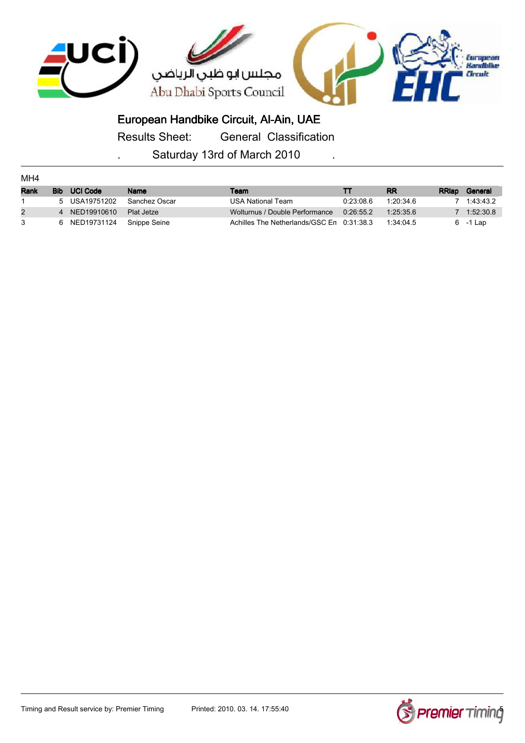

Results Sheet: General Classification

| MH4  |            |                 |               |                                           |           |           |              |             |
|------|------------|-----------------|---------------|-------------------------------------------|-----------|-----------|--------------|-------------|
| Rank | <b>Bib</b> | <b>UCI Code</b> | <b>Name</b>   | Team                                      |           | <b>RR</b> | <b>RRIap</b> | General     |
|      |            | 5 USA19751202   | Sanchez Oscar | USA National Team                         | 0.23:08.6 | 1:20:34.6 |              | 1:43:43.2   |
| 2    | 4          | NED19910610     | Plat Jetze    | Wolturnus / Double Performance            | 0:26:55.2 | 1.25.356  |              | 1:52:30.8   |
|      | 6.         | NED19731124     | Snippe Seine  | Achilles The Netherlands/GSC En 0:31:38.3 |           | 1:34:04.5 |              | $6 - 1$ Lap |

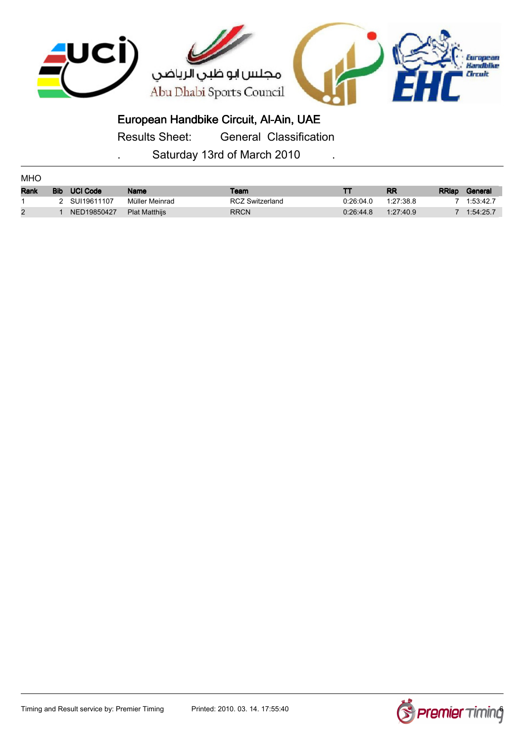

Results Sheet: General Classification

| <b>MHO</b> |            |                 |                      |                        |           |           |              |           |
|------------|------------|-----------------|----------------------|------------------------|-----------|-----------|--------------|-----------|
| Rank       | <b>Bib</b> | <b>UCI Code</b> | <b>Name</b>          | Team                   |           | <b>RR</b> | <b>RRIap</b> | General   |
|            |            | 2 SUI19611107   | Müller Meinrad       | <b>RCZ Switzerland</b> | 0:26:04.0 | 1.27.38.8 |              | 1:53:42.7 |
| 2          |            | NED19850427     | <b>Plat Matthijs</b> | <b>RRCN</b>            | 0.26.44.8 | 1:27:40.9 |              | 1:54:25.7 |

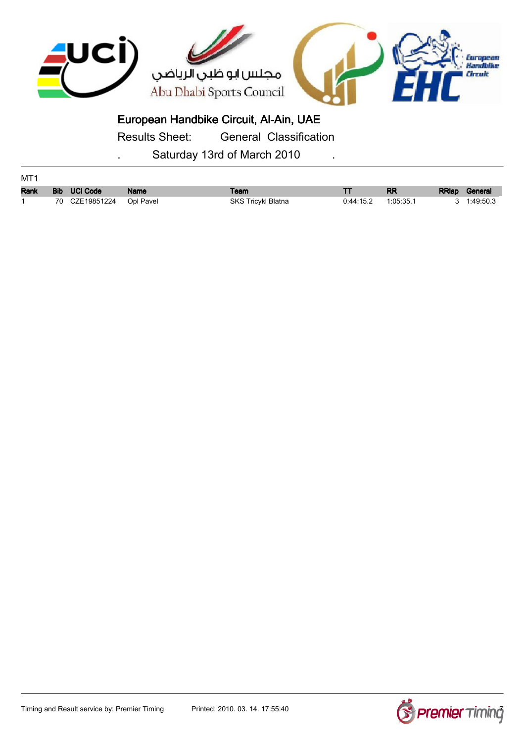

Results Sheet: General Classification

| MT1         |                          |             |                    |           |           |                      |
|-------------|--------------------------|-------------|--------------------|-----------|-----------|----------------------|
| <b>Rank</b> | <b>Bib</b> UCI Code      | <b>Name</b> | <b>Team</b>        |           | <b>RR</b> | <b>RRIap</b> General |
|             | 70 CZE19851224 Opl Pavel |             | SKS Tricykl Blatna | 0:44:15.2 | 1:05:35.1 | 3 1:49:50.3          |

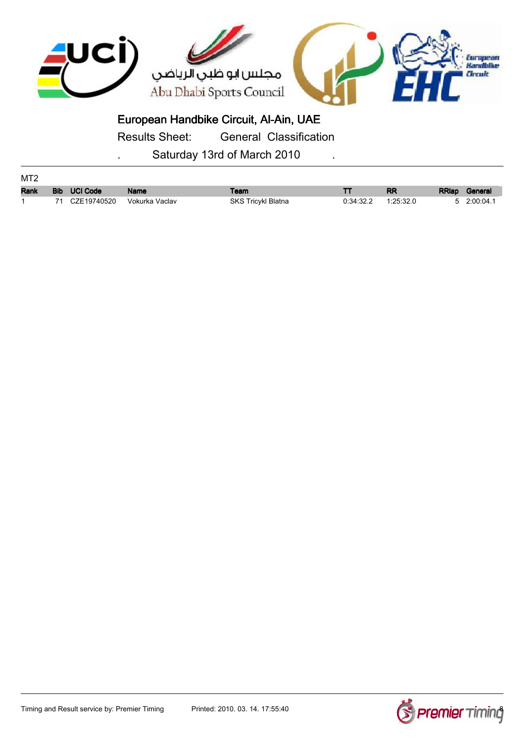

Results Sheet: General Classification

Saturday 13rd of March 2010

| MT2         |                     |                |                    |           |           |                      |
|-------------|---------------------|----------------|--------------------|-----------|-----------|----------------------|
| <b>Rank</b> | <b>Bib</b> UCI Code | <b>Name</b>    | Team               |           | <b>RR</b> | <b>RRIap</b> General |
|             | 71 CZE19740520      | Vokurka Vaclav | SKS Tricykl Blatna | 0:34:32.2 | 1:25:32.0 | 5 2:00:04.1          |



European<br>Handbike<br>Circuit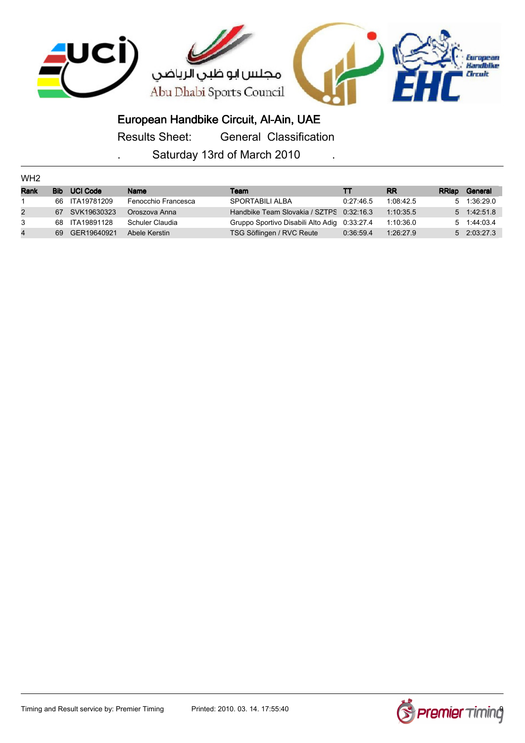

Results Sheet: General Classification

| WH <sub>2</sub> |            |                 |                     |                                              |           |           |               |             |
|-----------------|------------|-----------------|---------------------|----------------------------------------------|-----------|-----------|---------------|-------------|
| Rank            | <b>Bib</b> | <b>UCI Code</b> | <b>Name</b>         | Team                                         | тт        | <b>RR</b> | <b>RR</b> lap | General     |
|                 | 66         | ITA19781209     | Fenocchio Francesca | <b>SPORTABILI ALBA</b>                       | 0:27:46.5 | 1.08.42.5 |               | 5 1:36:29.0 |
| $\overline{2}$  | 67         | SVK19630323     | Oroszova Anna       | Handbike Team Slovakia / SZTPS 0:32:16.3     |           | 1:10:35.5 |               | 5 1:42:51.8 |
| 3               | 68.        | ITA19891128     | Schuler Claudia     | Gruppo Sportivo Disabili Alto Adiq 0:33:27.4 |           | 1:10:36.0 |               | 5 1:44:03.4 |
| 4               | 69         | GER19640921     | Abele Kerstin       | TSG Söflingen / RVC Reute                    | 0:36:59.4 | 1:26:27.9 |               | 5 2:03:27.3 |

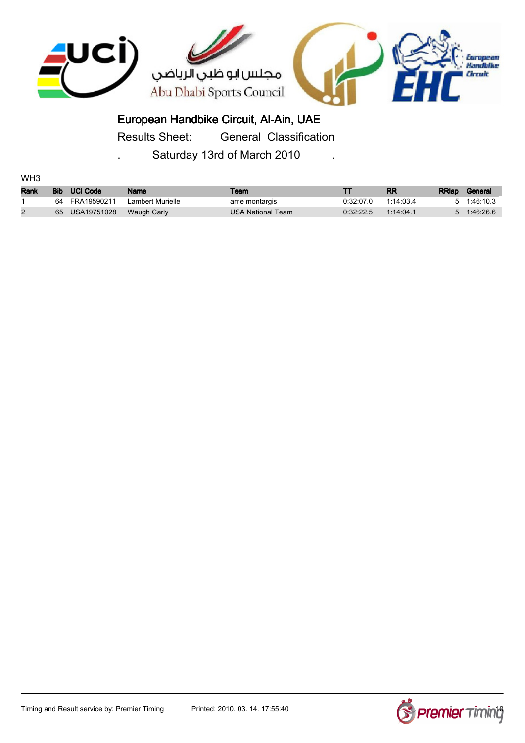

Results Sheet: General Classification

| WH <sub>3</sub> |                     |                  |                          |           |           |                      |
|-----------------|---------------------|------------------|--------------------------|-----------|-----------|----------------------|
| Rank            | <b>Bib UCI</b> Code | <b>Name</b>      | Team                     |           | <b>RR</b> | <b>RRIap</b> General |
|                 | 64 FRA19590211      | Lambert Murielle | ame montargis            | 0.32.07.0 | 1:14:03.4 | 5 1:46:10.3          |
|                 | 65 USA19751028      | Waugh Carly      | <b>USA National Team</b> | 0.32.22.5 | 1:14:04.1 | 5 1:46:26.6          |